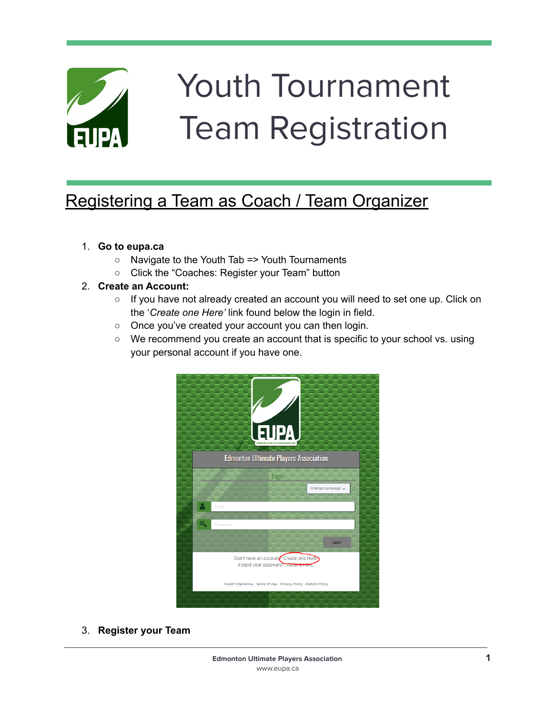

# Youth Tournament Team Registration

## Registering a Team as Coach / Team Organizer

#### 1. **Go to eupa.ca**

- Navigate to the Youth Tab => Youth Tournaments
- Click the "Coaches: Register your Team" button

#### 2. **Create an Account:**

- If you have not already created an account you will need to set one up. Click on the '*Create one Here'* link found below the login in field.
- Once you've created your account you can then login.
- We recommend you create an account that is specific to your school vs. using your personal account if you have one.



3. **Register your Team**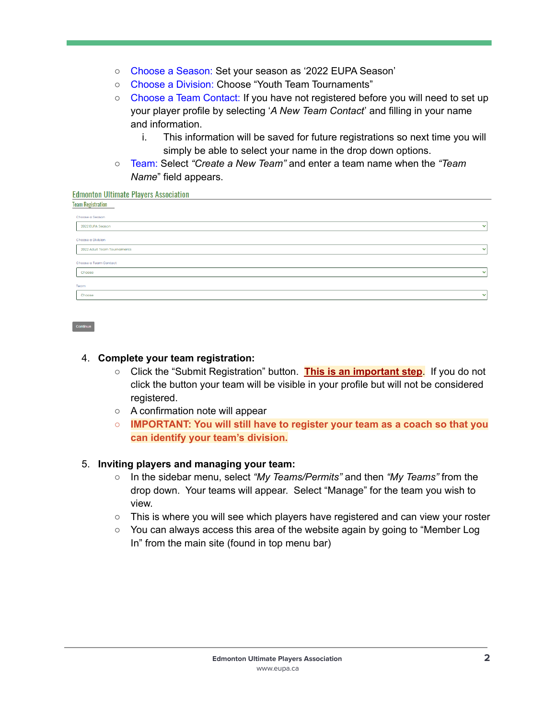- Choose a Season: Set your season as '2022 EUPA Season'
- Choose a Division: Choose "Youth Team Tournaments"
- Choose a Team Contact: If you have not registered before you will need to set up your player profile by selecting '*A New Team Contact*' and filling in your name and information.
	- i. This information will be saved for future registrations so next time you will simply be able to select your name in the drop down options.
- Team: Select *"Create a New Team"* and enter a team name when the *"Team Name*" field appears.

| $\checkmark$ |
|--------------|
|              |
| $\checkmark$ |
|              |
| $\checkmark$ |
|              |
| $\checkmark$ |
|              |

| ٠<br>- | - |  |  |
|--------|---|--|--|
|        |   |  |  |
|        |   |  |  |

#### 4. **Complete your team registration:**

- Click the "Submit Registration" button. **This is an important step**. If you do not click the button your team will be visible in your profile but will not be considered registered.
- A confirmation note will appear
- **○ IMPORTANT: You will still have to register your team as a coach so that you can identify your team's division.**

#### 5. **Inviting players and managing your team:**

- In the sidebar menu, select *"My Teams/Permits"* and then *"My Teams"* from the drop down. Your teams will appear. Select "Manage" for the team you wish to view.
- $\circ$  This is where you will see which players have registered and can view your roster
- $\circ$  You can always access this area of the website again by going to "Member Log" In" from the main site (found in top menu bar)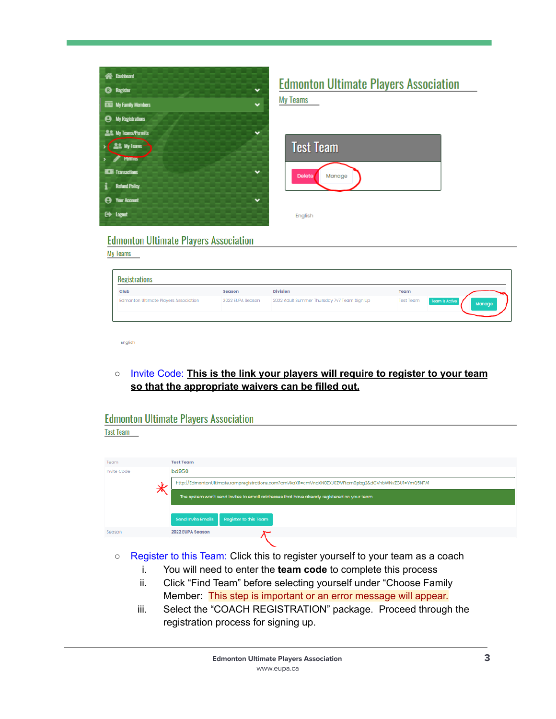

### **Edmonton Ultimate Players Association**

**My Teams** 

| <b>Test Team</b> |        |
|------------------|--------|
| <b>Delete</b>    | Manage |
| English          |        |

**Edmonton Ultimate Players Association** 

**My Teams** 

| Club                                  | <b>Season</b>    | <b>Division</b>                             | Team             |                                 |
|---------------------------------------|------------------|---------------------------------------------|------------------|---------------------------------|
| Edmonton Ultimate Players Association | 2022 EUPA Season | 2022 Adult Summer Thursday 7v7 Team Sign Up | <b>Test Team</b> | Team is Active<br><b>Manage</b> |
|                                       |                  |                                             |                  |                                 |

English

○ Invite Code: **This is the link your players will require to register to your team so that the appropriate waivers can be filled out.**

#### **Edmonton Ultimate Players Association Test Team**

| Team        |   | <b>Test Team</b>                                                                                                                                                                                   |  |  |  |
|-------------|---|----------------------------------------------------------------------------------------------------------------------------------------------------------------------------------------------------|--|--|--|
| Invite Code |   | <b>bd950</b>                                                                                                                                                                                       |  |  |  |
|             |   | http://EdmontonUltimate.rampregistrations.com?cmVkaXII=cmVnaXN0ZXJ0ZWFtam9pbg2&dGVhbWNvZGU1=YmQ5NTA1<br>The system won't send invites to email addresses that have already registered on your team |  |  |  |
|             | ᄉ |                                                                                                                                                                                                    |  |  |  |
|             |   |                                                                                                                                                                                                    |  |  |  |
|             |   | <b>Send Invite Emails</b><br><b>Register to this Team</b>                                                                                                                                          |  |  |  |
| Season      |   | 2022 EUPA Season                                                                                                                                                                                   |  |  |  |
|             |   |                                                                                                                                                                                                    |  |  |  |

- Register to this Team: Click this to register yourself to your team as a coach
	- i. You will need to enter the **team code** to complete this process
	- ii. Click "Find Team" before selecting yourself under "Choose Family Member: This step is important or an error message will appear.
	- iii. Select the "COACH REGISTRATION" package. Proceed through the registration process for signing up.